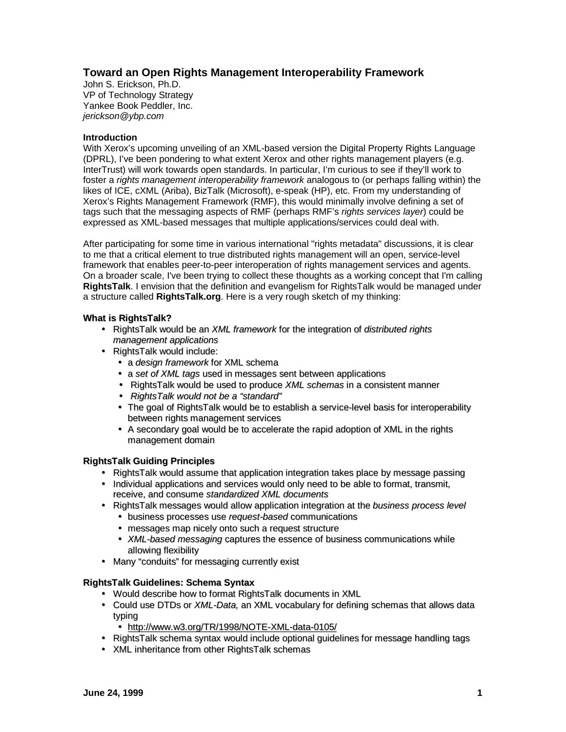# **Toward an Open Rights Management Interoperability Framework**

John S. Erickson, Ph.D. VP of Technology Strategy Yankee Book Peddler, Inc. *jerickson@ybp.com*

# **Introduction**

With Xerox's upcoming unveiling of an XML-based version the Digital Property Rights Language (DPRL), I've been pondering to what extent Xerox and other rights management players (e.g. InterTrust) will work towards open standards. In particular, I'm curious to see if they'll work to foster a *rights management interoperability framework* analogous to (or perhaps falling within) the likes of ICE, cXML (Ariba), BizTalk (Microsoft), e-speak (HP), etc. From my understanding of Xerox's Rights Management Framework (RMF), this would minimally involve defining a set of tags such that the messaging aspects of RMF (perhaps RMF's *rights services layer*) could be expressed as XML-based messages that multiple applications/services could deal with.

After participating for some time in various international "rights metadata" discussions, it is clear to me that a critical element to true distributed rights management will an open, service-level framework that enables peer-to-peer interoperation of rights management services and agents. On a broader scale, I've been trying to collect these thoughts as a working concept that I'm calling **RightsTalk**. I envision that the definition and evangelism for RightsTalk would be managed under a structure called **RightsTalk.org**. Here is a very rough sketch of my thinking:

# **What is RightsTalk?**

- RightsTalk would be an *XML framework* for the integration of *distributed rights management applications*
- RightsTalk would include:
	- a *design framework* for XML schema
	- a *set of XML tags* used in messages sent between applications
	- RightsTalk would be used to produce *XML schemas* in a consistent manner
	- *RightsTalk would not be a "standard"*
	- The goal of RightsTalk would be to establish a service-level basis for interoperability between rights management services
	- A secondary goal would be to accelerate the rapid adoption of XML in the rights management domain

### **RightsTalk Guiding Principles**

- RightsTalk would assume that application integration takes place by message passing
- Individual applications and services would only need to be able to format, transmit, receive, and consume *standardized XML documents*
- RightsTalk messages would allow application integration at the *business process level*
	- business processes use *request-based* communications
	- messages map nicely onto such a request structure
	- *XML-based messaging* captures the essence of business communications while allowing flexibility
- Many "conduits" for messaging currently exist

### **RightsTalk Guidelines: Schema Syntax**

- Would describe how to format RightsTalk documents in XML
- Could use DTDs or *XML-Data,* an XML vocabulary for defining schemas that allows data typing
	- http://www.w3.org/TR/1998/NOTE-XML-data-0105/
- RightsTalk schema syntax would include optional guidelines for message handling tags
- XML inheritance from other RightsTalk schemas